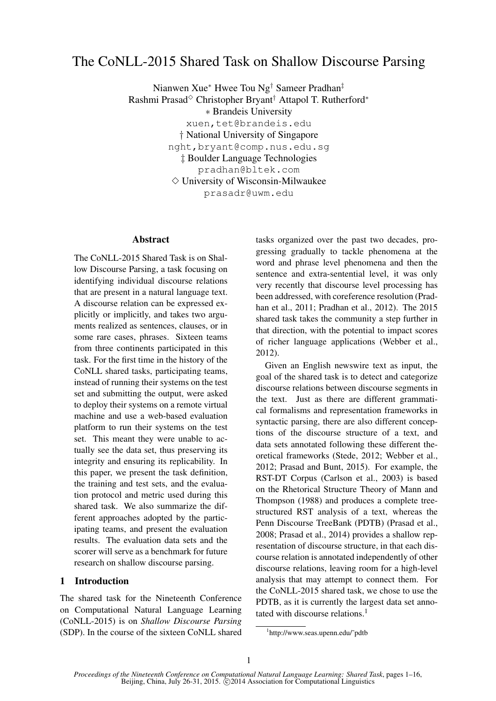# The CoNLL-2015 Shared Task on Shallow Discourse Parsing

Nianwen Xue<sup>∗</sup> Hwee Tou Ng† Sameer Pradhan‡ Rashmi Prasad<sup>√</sup> Christopher Bryant<sup>†</sup> Attapol T. Rutherford<sup>∗</sup> ∗ Brandeis University xuen,tet@brandeis.edu † National University of Singapore nght,bryant@comp.nus.edu.sg ‡ Boulder Language Technologies pradhan@bltek.com  $\diamond$  University of Wisconsin-Milwaukee prasadr@uwm.edu

#### Abstract

The CoNLL-2015 Shared Task is on Shallow Discourse Parsing, a task focusing on identifying individual discourse relations that are present in a natural language text. A discourse relation can be expressed explicitly or implicitly, and takes two arguments realized as sentences, clauses, or in some rare cases, phrases. Sixteen teams from three continents participated in this task. For the first time in the history of the CoNLL shared tasks, participating teams, instead of running their systems on the test set and submitting the output, were asked to deploy their systems on a remote virtual machine and use a web-based evaluation platform to run their systems on the test set. This meant they were unable to actually see the data set, thus preserving its integrity and ensuring its replicability. In this paper, we present the task definition, the training and test sets, and the evaluation protocol and metric used during this shared task. We also summarize the different approaches adopted by the participating teams, and present the evaluation results. The evaluation data sets and the scorer will serve as a benchmark for future research on shallow discourse parsing.

# 1 Introduction

The shared task for the Nineteenth Conference on Computational Natural Language Learning (CoNLL-2015) is on *Shallow Discourse Parsing* (SDP). In the course of the sixteen CoNLL shared tasks organized over the past two decades, progressing gradually to tackle phenomena at the word and phrase level phenomena and then the sentence and extra-sentential level, it was only very recently that discourse level processing has been addressed, with coreference resolution (Pradhan et al., 2011; Pradhan et al., 2012). The 2015 shared task takes the community a step further in that direction, with the potential to impact scores of richer language applications (Webber et al., 2012).

Given an English newswire text as input, the goal of the shared task is to detect and categorize discourse relations between discourse segments in the text. Just as there are different grammatical formalisms and representation frameworks in syntactic parsing, there are also different conceptions of the discourse structure of a text, and data sets annotated following these different theoretical frameworks (Stede, 2012; Webber et al., 2012; Prasad and Bunt, 2015). For example, the RST-DT Corpus (Carlson et al., 2003) is based on the Rhetorical Structure Theory of Mann and Thompson (1988) and produces a complete treestructured RST analysis of a text, whereas the Penn Discourse TreeBank (PDTB) (Prasad et al., 2008; Prasad et al., 2014) provides a shallow representation of discourse structure, in that each discourse relation is annotated independently of other discourse relations, leaving room for a high-level analysis that may attempt to connect them. For the CoNLL-2015 shared task, we chose to use the PDTB, as it is currently the largest data set annotated with discourse relations.<sup>1</sup>

<sup>1</sup> http://www.seas.upenn.edu/˜pdtb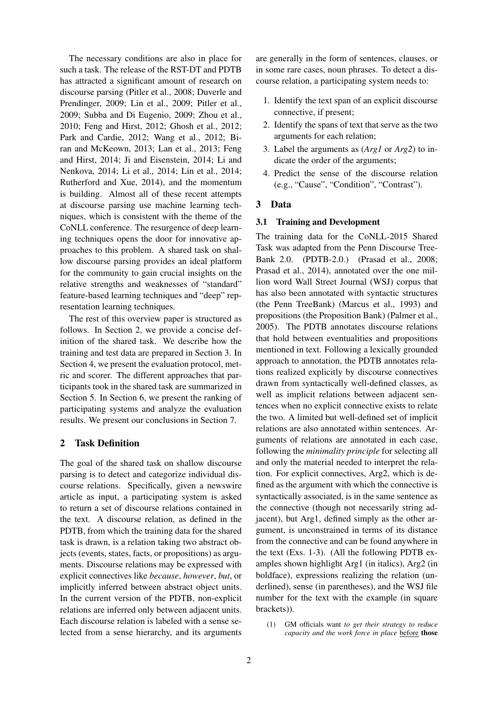The necessary conditions are also in place for such a task. The release of the RST-DT and PDTB has attracted a significant amount of research on discourse parsing (Pitler et al., 2008; Duverle and Prendinger, 2009; Lin et al., 2009; Pitler et al., 2009; Subba and Di Eugenio, 2009; Zhou et al., 2010; Feng and Hirst, 2012; Ghosh et al., 2012; Park and Cardie, 2012; Wang et al., 2012; Biran and McKeown, 2013; Lan et al., 2013; Feng and Hirst, 2014; Ji and Eisenstein, 2014; Li and Nenkova, 2014; Li et al., 2014; Lin et al., 2014; Rutherford and Xue, 2014), and the momentum is building. Almost all of these recent attempts at discourse parsing use machine learning techniques, which is consistent with the theme of the CoNLL conference. The resurgence of deep learning techniques opens the door for innovative approaches to this problem. A shared task on shallow discourse parsing provides an ideal platform for the community to gain crucial insights on the relative strengths and weaknesses of "standard" feature-based learning techniques and "deep" representation learning techniques.

The rest of this overview paper is structured as follows. In Section 2, we provide a concise definition of the shared task. We describe how the training and test data are prepared in Section 3. In Section 4, we present the evaluation protocol, metric and scorer. The different approaches that participants took in the shared task are summarized in Section 5. In Section 6, we present the ranking of participating systems and analyze the evaluation results. We present our conclusions in Section 7.

# 2 Task Definition

The goal of the shared task on shallow discourse parsing is to detect and categorize individual discourse relations. Specifically, given a newswire article as input, a participating system is asked to return a set of discourse relations contained in the text. A discourse relation, as defined in the PDTB, from which the training data for the shared task is drawn, is a relation taking two abstract objects (events, states, facts, or propositions) as arguments. Discourse relations may be expressed with explicit connectives like *because*, *however*, *but*, or implicitly inferred between abstract object units. In the current version of the PDTB, non-explicit relations are inferred only between adjacent units. Each discourse relation is labeled with a sense selected from a sense hierarchy, and its arguments are generally in the form of sentences, clauses, or in some rare cases, noun phrases. To detect a discourse relation, a participating system needs to:

- 1. Identify the text span of an explicit discourse connective, if present;
- 2. Identify the spans of text that serve as the two arguments for each relation;
- 3. Label the arguments as (*Arg1* or *Arg2*) to indicate the order of the arguments;
- 4. Predict the sense of the discourse relation (e.g., "Cause", "Condition", "Contrast").

# 3 Data

#### 3.1 Training and Development

The training data for the CoNLL-2015 Shared Task was adapted from the Penn Discourse Tree-Bank 2.0. (PDTB-2.0.) (Prasad et al., 2008; Prasad et al., 2014), annotated over the one million word Wall Street Journal (WSJ) corpus that has also been annotated with syntactic structures (the Penn TreeBank) (Marcus et al., 1993) and propositions (the Proposition Bank) (Palmer et al., 2005). The PDTB annotates discourse relations that hold between eventualities and propositions mentioned in text. Following a lexically grounded approach to annotation, the PDTB annotates relations realized explicitly by discourse connectives drawn from syntactically well-defined classes, as well as implicit relations between adjacent sentences when no explicit connective exists to relate the two. A limited but well-defined set of implicit relations are also annotated within sentences. Arguments of relations are annotated in each case, following the *minimality principle* for selecting all and only the material needed to interpret the relation. For explicit connectives, Arg2, which is defined as the argument with which the connective is syntactically associated, is in the same sentence as the connective (though not necessarily string adjacent), but Arg1, defined simply as the other argument, is unconstrained in terms of its distance from the connective and can be found anywhere in the text (Exs. 1-3). (All the following PDTB examples shown highlight Arg1 (in italics), Arg2 (in boldface), expressions realizing the relation (underlined), sense (in parentheses), and the WSJ file number for the text with the example (in square brackets)).

(1) GM officials want *to get their strategy to reduce capacity and the work force in place* before those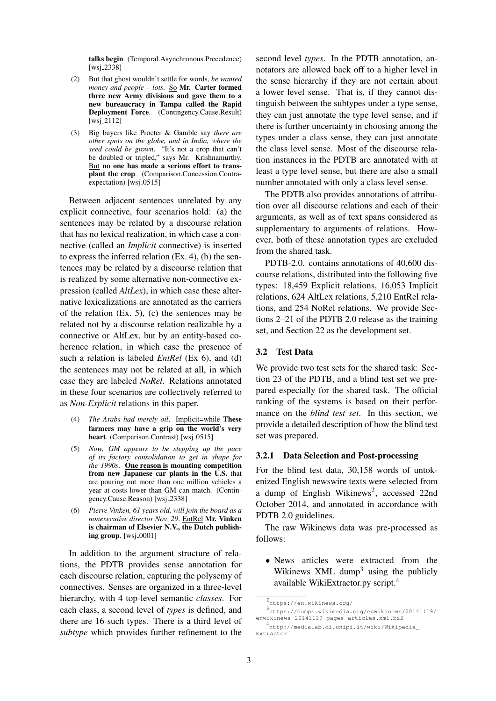talks begin. (Temporal.Asynchronous.Precedence) [wsj\_2338]

- (2) But that ghost wouldn't settle for words, *he wanted money and people – lots*. So Mr. Carter formed three new Army divisions and gave them to a new bureaucracy in Tampa called the Rapid Deployment Force. (Contingency.Cause.Result)  $[wsj_2112]$
- (3) Big buyers like Procter & Gamble say *there are other spots on the globe, and in India, where the seed could be grown*. "It's not a crop that can't be doubled or tripled," says Mr. Krishnamurthy. But no one has made a serious effort to transplant the crop. (Comparison.Concession.Contraexpectation) [wsj\_0515]

Between adjacent sentences unrelated by any explicit connective, four scenarios hold: (a) the sentences may be related by a discourse relation that has no lexical realization, in which case a connective (called an *Implicit* connective) is inserted to express the inferred relation (Ex. 4), (b) the sentences may be related by a discourse relation that is realized by some alternative non-connective expression (called *AltLex*), in which case these alternative lexicalizations are annotated as the carriers of the relation (Ex. 5), (c) the sentences may be related not by a discourse relation realizable by a connective or AltLex, but by an entity-based coherence relation, in which case the presence of such a relation is labeled *EntRel* (Ex 6), and (d) the sentences may not be related at all, in which case they are labeled *NoRel*. Relations annotated in these four scenarios are collectively referred to as *Non-Explicit* relations in this paper.

- (4) *The Arabs had merely oil*. Implicit=while These farmers may have a grip on the world's very heart. (Comparison.Contrast) [wsj.0515]
- (5) *Now, GM appears to be stepping up the pace of its factory consolidation to get in shape for the 1990s*. One reason is mounting competition from new Japanese car plants in the U.S. that are pouring out more than one million vehicles a year at costs lower than GM can match. (Contingency.Cause.Reason) [wsj 2338]
- (6) *Pierre Vinken, 61 years old, will join the board as a nonexecutive director Nov. 29*. EntRel Mr. Vinken is chairman of Elsevier N.V., the Dutch publishing group. [wsj\_0001]

In addition to the argument structure of relations, the PDTB provides sense annotation for each discourse relation, capturing the polysemy of connectives. Senses are organized in a three-level hierarchy, with 4 top-level semantic *classes*. For each class, a second level of *types* is defined, and there are 16 such types. There is a third level of *subtype* which provides further refinement to the

second level *types*. In the PDTB annotation, annotators are allowed back off to a higher level in the sense hierarchy if they are not certain about a lower level sense. That is, if they cannot distinguish between the subtypes under a type sense, they can just annotate the type level sense, and if there is further uncertainty in choosing among the types under a class sense, they can just annotate the class level sense. Most of the discourse relation instances in the PDTB are annotated with at least a type level sense, but there are also a small number annotated with only a class level sense.

The PDTB also provides annotations of attribution over all discourse relations and each of their arguments, as well as of text spans considered as supplementary to arguments of relations. However, both of these annotation types are excluded from the shared task.

PDTB-2.0. contains annotations of 40,600 discourse relations, distributed into the following five types: 18,459 Explicit relations, 16,053 Implicit relations, 624 AltLex relations, 5,210 EntRel relations, and 254 NoRel relations. We provide Sections 2–21 of the PDTB 2.0 release as the training set, and Section 22 as the development set.

## 3.2 Test Data

We provide two test sets for the shared task: Section 23 of the PDTB, and a blind test set we prepared especially for the shared task. The official ranking of the systems is based on their performance on the *blind test set*. In this section, we provide a detailed description of how the blind test set was prepared.

#### 3.2.1 Data Selection and Post-processing

For the blind test data, 30,158 words of untokenized English newswire texts were selected from a dump of English Wikinews<sup>2</sup>, accessed 22nd October 2014, and annotated in accordance with PDTB 2.0 guidelines.

The raw Wikinews data was pre-processed as follows:

• News articles were extracted from the Wikinews XML dump<sup>3</sup> using the publicly available WikiExtractor.py script.<sup>4</sup>

<sup>2</sup> https://en.wikinews.org/

<sup>3</sup> https://dumps.wikimedia.org/enwikinews/20141119/ enwikinews-20141119-pages-articles.xml.bz2

<sup>4</sup> http://medialab.di.unipi.it/wiki/Wikipedia\_ Extractor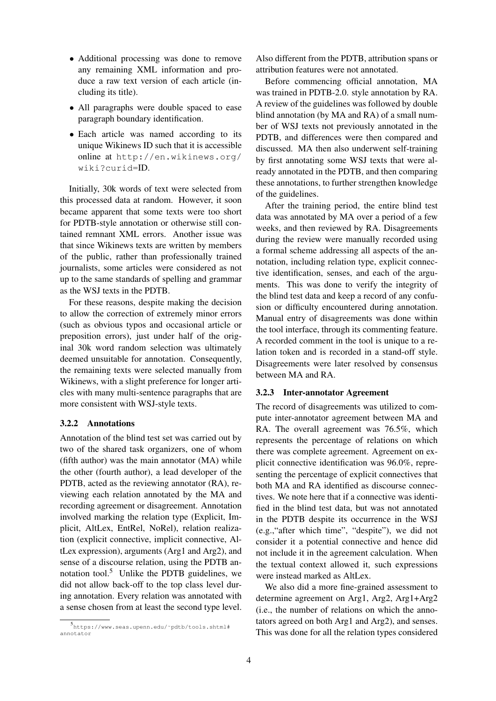- Additional processing was done to remove any remaining XML information and produce a raw text version of each article (including its title).
- All paragraphs were double spaced to ease paragraph boundary identification.
- Each article was named according to its unique Wikinews ID such that it is accessible online at http://en.wikinews.org/ wiki?curid=ID.

Initially, 30k words of text were selected from this processed data at random. However, it soon became apparent that some texts were too short for PDTB-style annotation or otherwise still contained remnant XML errors. Another issue was that since Wikinews texts are written by members of the public, rather than professionally trained journalists, some articles were considered as not up to the same standards of spelling and grammar as the WSJ texts in the PDTB.

For these reasons, despite making the decision to allow the correction of extremely minor errors (such as obvious typos and occasional article or preposition errors), just under half of the original 30k word random selection was ultimately deemed unsuitable for annotation. Consequently, the remaining texts were selected manually from Wikinews, with a slight preference for longer articles with many multi-sentence paragraphs that are more consistent with WSJ-style texts.

### 3.2.2 Annotations

Annotation of the blind test set was carried out by two of the shared task organizers, one of whom (fifth author) was the main annotator (MA) while the other (fourth author), a lead developer of the PDTB, acted as the reviewing annotator (RA), reviewing each relation annotated by the MA and recording agreement or disagreement. Annotation involved marking the relation type (Explicit, Implicit, AltLex, EntRel, NoRel), relation realization (explicit connective, implicit connective, AltLex expression), arguments (Arg1 and Arg2), and sense of a discourse relation, using the PDTB annotation tool.<sup>5</sup> Unlike the PDTB guidelines, we did not allow back-off to the top class level during annotation. Every relation was annotated with a sense chosen from at least the second type level.

Also different from the PDTB, attribution spans or attribution features were not annotated.

Before commencing official annotation, MA was trained in PDTB-2.0. style annotation by RA. A review of the guidelines was followed by double blind annotation (by MA and RA) of a small number of WSJ texts not previously annotated in the PDTB, and differences were then compared and discussed. MA then also underwent self-training by first annotating some WSJ texts that were already annotated in the PDTB, and then comparing these annotations, to further strengthen knowledge of the guidelines.

After the training period, the entire blind test data was annotated by MA over a period of a few weeks, and then reviewed by RA. Disagreements during the review were manually recorded using a formal scheme addressing all aspects of the annotation, including relation type, explicit connective identification, senses, and each of the arguments. This was done to verify the integrity of the blind test data and keep a record of any confusion or difficulty encountered during annotation. Manual entry of disagreements was done within the tool interface, through its commenting feature. A recorded comment in the tool is unique to a relation token and is recorded in a stand-off style. Disagreements were later resolved by consensus between MA and RA.

#### 3.2.3 Inter-annotator Agreement

The record of disagreements was utilized to compute inter-annotator agreement between MA and RA. The overall agreement was 76.5%, which represents the percentage of relations on which there was complete agreement. Agreement on explicit connective identification was 96.0%, representing the percentage of explicit connectives that both MA and RA identified as discourse connectives. We note here that if a connective was identified in the blind test data, but was not annotated in the PDTB despite its occurrence in the WSJ (e.g.,"after which time", "despite"), we did not consider it a potential connective and hence did not include it in the agreement calculation. When the textual context allowed it, such expressions were instead marked as AltLex.

We also did a more fine-grained assessment to determine agreement on Arg1, Arg2, Arg1+Arg2 (i.e., the number of relations on which the annotators agreed on both Arg1 and Arg2), and senses. This was done for all the relation types considered

<sup>5</sup> https://www.seas.upenn.edu/˜pdtb/tools.shtml# annotator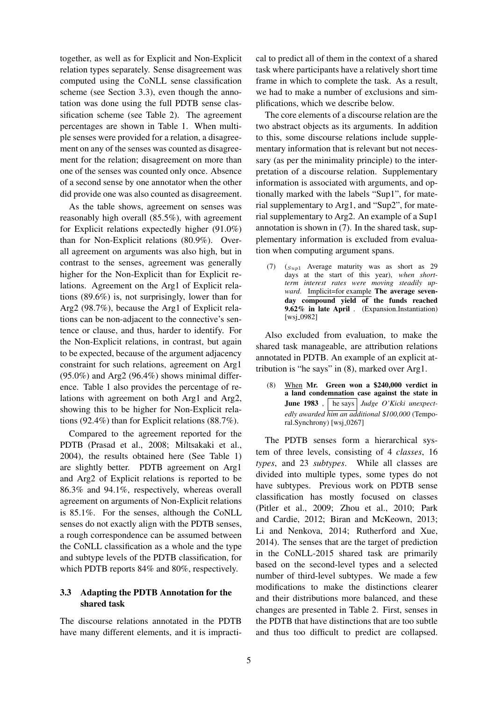together, as well as for Explicit and Non-Explicit relation types separately. Sense disagreement was computed using the CoNLL sense classification scheme (see Section 3.3), even though the annotation was done using the full PDTB sense classification scheme (see Table 2). The agreement percentages are shown in Table 1. When multiple senses were provided for a relation, a disagreement on any of the senses was counted as disagreement for the relation; disagreement on more than one of the senses was counted only once. Absence of a second sense by one annotator when the other did provide one was also counted as disagreement.

As the table shows, agreement on senses was reasonably high overall (85.5%), with agreement for Explicit relations expectedly higher (91.0%) than for Non-Explicit relations (80.9%). Overall agreement on arguments was also high, but in contrast to the senses, agreement was generally higher for the Non-Explicit than for Explicit relations. Agreement on the Arg1 of Explicit relations (89.6%) is, not surprisingly, lower than for Arg2 (98.7%), because the Arg1 of Explicit relations can be non-adjacent to the connective's sentence or clause, and thus, harder to identify. For the Non-Explicit relations, in contrast, but again to be expected, because of the argument adjacency constraint for such relations, agreement on Arg1  $(95.0\%)$  and Arg2  $(96.4\%)$  shows minimal difference. Table 1 also provides the percentage of relations with agreement on both Arg1 and Arg2, showing this to be higher for Non-Explicit relations (92.4%) than for Explicit relations (88.7%).

Compared to the agreement reported for the PDTB (Prasad et al., 2008; Miltsakaki et al., 2004), the results obtained here (See Table 1) are slightly better. PDTB agreement on Arg1 and Arg2 of Explicit relations is reported to be 86.3% and 94.1%, respectively, whereas overall agreement on arguments of Non-Explicit relations is 85.1%. For the senses, although the CoNLL senses do not exactly align with the PDTB senses, a rough correspondence can be assumed between the CoNLL classification as a whole and the type and subtype levels of the PDTB classification, for which PDTB reports 84% and 80%, respectively.

# 3.3 Adapting the PDTB Annotation for the shared task

The discourse relations annotated in the PDTB have many different elements, and it is impracti-

cal to predict all of them in the context of a shared task where participants have a relatively short time frame in which to complete the task. As a result, we had to make a number of exclusions and simplifications, which we describe below.

The core elements of a discourse relation are the two abstract objects as its arguments. In addition to this, some discourse relations include supplementary information that is relevant but not necessary (as per the minimality principle) to the interpretation of a discourse relation. Supplementary information is associated with arguments, and optionally marked with the labels "Sup1", for material supplementary to Arg1, and "Sup2", for material supplementary to Arg2. An example of a Sup1 annotation is shown in (7). In the shared task, supplementary information is excluded from evaluation when computing argument spans.

(7)  $(s_{up1}$  Average maturity was as short as 29 days at the start of this year), *when shortterm interest rates were moving steadily upward*. Implicit=for example The average sevenday compound yield of the funds reached 9.62% in late April . (Expansion.Instantiation) [wsj\_0982]

Also excluded from evaluation, to make the shared task manageable, are attribution relations annotated in PDTB. An example of an explicit attribution is "he says" in (8), marked over Arg1.

(8) When Mr. Green won a \$240,000 verdict in a land condemnation case against the state in June 1983, he says *Judge O'Kicki unexpectedly awarded him an additional* \$*100,000* (Temporal.Synchrony) [wsj\_0267]

The PDTB senses form a hierarchical system of three levels, consisting of 4 *classes*, 16 *types*, and 23 *subtypes*. While all classes are divided into multiple types, some types do not have subtypes. Previous work on PDTB sense classification has mostly focused on classes (Pitler et al., 2009; Zhou et al., 2010; Park and Cardie, 2012; Biran and McKeown, 2013; Li and Nenkova, 2014; Rutherford and Xue, 2014). The senses that are the target of prediction in the CoNLL-2015 shared task are primarily based on the second-level types and a selected number of third-level subtypes. We made a few modifications to make the distinctions clearer and their distributions more balanced, and these changes are presented in Table 2. First, senses in the PDTB that have distinctions that are too subtle and thus too difficult to predict are collapsed.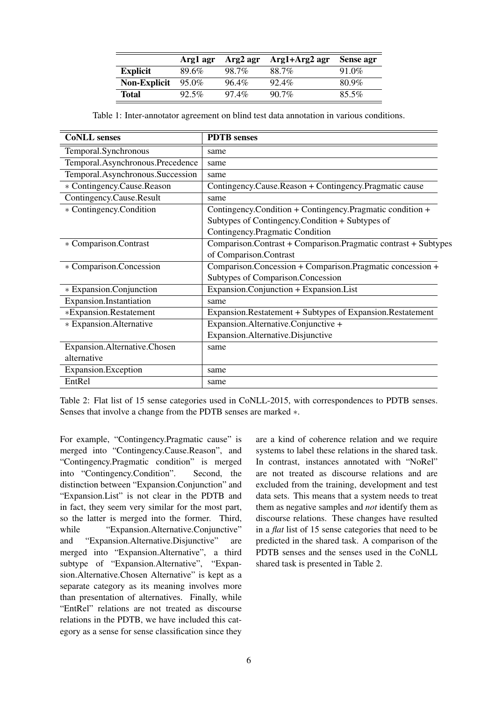|                     | Argl agr | Arg2 agr | Arg1+Arg2 agr | Sense agr |
|---------------------|----------|----------|---------------|-----------|
| <b>Explicit</b>     | 89.6%    | 98.7%    | 88.7%         | $91.0\%$  |
| <b>Non-Explicit</b> | $95.0\%$ | 96.4%    | $92.4\%$      | 80.9%     |
| Total               | $92.5\%$ | $97.4\%$ | $90.7\%$      | $85.5\%$  |

Table 1: Inter-annotator agreement on blind test data annotation in various conditions.

| <b>CoNLL</b> senses              | <b>PDTB</b> senses                                             |
|----------------------------------|----------------------------------------------------------------|
| Temporal.Synchronous             | same                                                           |
| Temporal.Asynchronous.Precedence | same                                                           |
| Temporal.Asynchronous.Succession | same                                                           |
| * Contingency.Cause.Reason       | Contingency.Cause.Reason + Contingency.Pragmatic cause         |
| Contingency.Cause.Result         | same                                                           |
| * Contingency. Condition         | Contingency.Condition + Contingency.Pragmatic condition +      |
|                                  | Subtypes of Contingency.Condition + Subtypes of                |
|                                  | Contingency. Pragmatic Condition                               |
| * Comparison.Contrast            | Comparison.Contrast + Comparison.Pragmatic contrast + Subtypes |
|                                  | of Comparison.Contrast                                         |
| * Comparison.Concession          | Comparison.Concession + Comparison.Pragmatic concession +      |
|                                  | Subtypes of Comparison.Concession                              |
| * Expansion.Conjunction          | Expansion.Conjunction + Expansion.List                         |
| Expansion.Instantiation          | same                                                           |
| *Expansion.Restatement           | Expansion.Restatement + Subtypes of Expansion.Restatement      |
| * Expansion. Alternative         | Expansion.Alternative.Conjunctive +                            |
|                                  | Expansion.Alternative.Disjunctive                              |
| Expansion.Alternative.Chosen     | same                                                           |
| alternative                      |                                                                |
| Expansion.Exception              | same                                                           |
| EntRel                           | same                                                           |

Table 2: Flat list of 15 sense categories used in CoNLL-2015, with correspondences to PDTB senses. Senses that involve a change from the PDTB senses are marked ∗.

For example, "Contingency.Pragmatic cause" is merged into "Contingency.Cause.Reason", and "Contingency.Pragmatic condition" is merged into "Contingency.Condition". Second, the distinction between "Expansion.Conjunction" and "Expansion.List" is not clear in the PDTB and in fact, they seem very similar for the most part, so the latter is merged into the former. Third, while "Expansion.Alternative.Conjunctive" and "Expansion.Alternative.Disjunctive" are merged into "Expansion.Alternative", a third subtype of "Expansion.Alternative", "Expansion.Alternative.Chosen Alternative" is kept as a separate category as its meaning involves more than presentation of alternatives. Finally, while "EntRel" relations are not treated as discourse relations in the PDTB, we have included this category as a sense for sense classification since they are a kind of coherence relation and we require systems to label these relations in the shared task. In contrast, instances annotated with "NoRel" are not treated as discourse relations and are excluded from the training, development and test data sets. This means that a system needs to treat them as negative samples and *not* identify them as discourse relations. These changes have resulted in a *flat* list of 15 sense categories that need to be predicted in the shared task. A comparison of the PDTB senses and the senses used in the CoNLL shared task is presented in Table 2.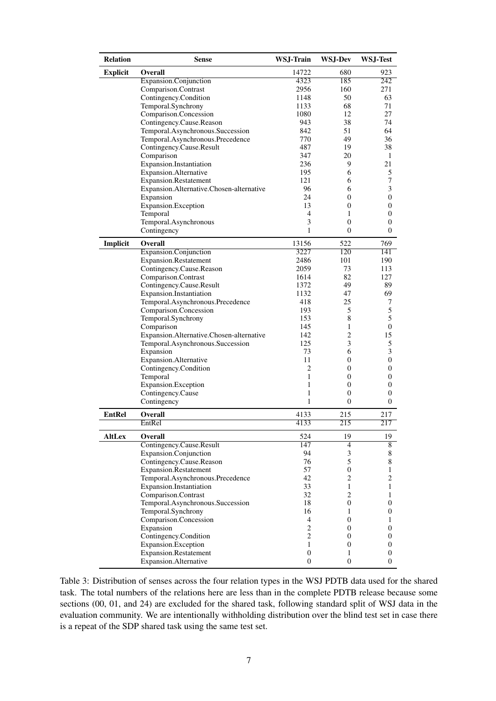| <b>Relation</b> | <b>Sense</b>                                      | WSJ-Train        | <b>WSJ-Dev</b>      | WSJ-Test         |  |
|-----------------|---------------------------------------------------|------------------|---------------------|------------------|--|
| <b>Explicit</b> | Overall                                           |                  | 680                 | 923              |  |
|                 | Expansion.Conjunction                             | 4323             | 185                 | 242              |  |
|                 | Comparison.Contrast                               | 2956             | 160                 | 271              |  |
|                 | Contingency.Condition                             | 1148             | 50                  | 63               |  |
|                 | Temporal.Synchrony                                | 1133             | 68                  | 71               |  |
|                 | Comparison.Concession                             | 1080             | 12                  | 27               |  |
|                 | Contingency.Cause.Reason                          | 943              | 38                  | 74               |  |
|                 | Temporal.Asynchronous.Succession                  | 842              | 51                  | 64               |  |
|                 | Temporal.Asynchronous.Precedence                  | 770              | 49                  | 36               |  |
|                 | Contingency.Cause.Result                          | 487              | 19                  | 38               |  |
|                 | Comparison                                        | 347              | 20                  | 1                |  |
|                 | Expansion.Instantiation                           | 236              | 9                   | 21               |  |
|                 | Expansion.Alternative                             | 195              | 6                   | 5                |  |
|                 | Expansion.Restatement                             | 121              | 6                   | 7                |  |
|                 | Expansion.Alternative.Chosen-alternative          | 96               | 6                   | 3                |  |
|                 | Expansion                                         | 24               | 0                   | $\boldsymbol{0}$ |  |
|                 | Expansion.Exception                               | 13               | 0                   | 0                |  |
|                 | Temporal                                          | 4<br>3           | 1                   | 0                |  |
|                 | Temporal.Asynchronous<br>Contingency              | 1                | 0<br>$\overline{0}$ | 0<br>0           |  |
|                 | <b>Overall</b>                                    |                  | 522                 |                  |  |
| Implicit        |                                                   | 13156<br>3227    | 120                 | 769<br>141       |  |
|                 | Expansion.Conjunction                             | 2486             | 101                 | 190              |  |
|                 | Expansion.Restatement<br>Contingency.Cause.Reason | 2059             | 73                  | 113              |  |
|                 | Comparison.Contrast                               | 1614             | 82                  | 127              |  |
|                 | Contingency.Cause.Result                          | 1372             | 49                  | 89               |  |
|                 | Expansion.Instantiation                           | 1132             | 47                  | 69               |  |
|                 | Temporal.Asynchronous.Precedence                  | 418              | 25                  | 7                |  |
|                 | Comparison.Concession                             | 193              | 5                   | 5                |  |
|                 | Temporal.Synchrony                                | 153              | 8                   | 5                |  |
|                 | Comparison                                        | 145              | 1                   | $\boldsymbol{0}$ |  |
|                 | Expansion.Alternative.Chosen-alternative          | 142              | 2                   | 15               |  |
|                 | Temporal.Asynchronous.Succession                  | 125              | 3                   | 5                |  |
|                 | Expansion                                         | 73               | 6                   | 3                |  |
|                 | Expansion.Alternative                             | 11               | 0                   | 0                |  |
|                 | Contingency.Condition                             | 2                | 0                   | 0                |  |
|                 | Temporal                                          | 1                | 0                   | 0                |  |
|                 | Expansion.Exception                               | 1                | 0                   | 0                |  |
|                 | Contingency.Cause                                 | 1                | 0                   | 0                |  |
|                 | Contingency                                       | 1                | $\overline{0}$      | $\overline{0}$   |  |
| <b>EntRel</b>   | <b>Overall</b>                                    | 4133             | 215                 | 217              |  |
|                 | EntRel                                            | 4133             | 215                 | 217              |  |
| <b>AltLex</b>   | Overall                                           | 524              | 19                  | 19               |  |
|                 | Contingency.Cause.Result                          | 147              | $\overline{4}$      | $\overline{8}$   |  |
|                 | Expansion.Conjunction                             | 94               | 3                   | 8                |  |
|                 | Contingency.Cause.Reason                          | 76               | 5                   | 8                |  |
|                 | Expansion.Restatement                             | 57               | $\boldsymbol{0}$    | 1                |  |
|                 | Temporal.Asynchronous.Precedence                  | 42               | $\overline{c}$      | $\overline{c}$   |  |
|                 | Expansion.Instantiation                           | 33               | $\mathbf{1}$        | 1                |  |
|                 | Comparison.Contrast                               | 32               | $\overline{2}$      | 1                |  |
|                 | Temporal.Asynchronous.Succession                  | 18               | 0                   | 0                |  |
|                 | Temporal.Synchrony                                | 16               | 1                   | 0                |  |
|                 | Comparison.Concession                             | 4                | $\overline{0}$      | 1                |  |
|                 | Expansion                                         | $\overline{c}$   | 0                   | 0                |  |
|                 | Contingency.Condition                             | $\overline{c}$   | 0                   | 0                |  |
|                 | Expansion.Exception                               | $\mathbf{1}$     | 0                   | $\boldsymbol{0}$ |  |
|                 | <b>Expansion.Restatement</b>                      | $\mathbf{0}$     | 1                   | 0                |  |
|                 | Expansion.Alternative                             | $\boldsymbol{0}$ | $\overline{0}$      | $\overline{0}$   |  |

Table 3: Distribution of senses across the four relation types in the WSJ PDTB data used for the shared task. The total numbers of the relations here are less than in the complete PDTB release because some sections (00, 01, and 24) are excluded for the shared task, following standard split of WSJ data in the evaluation community. We are intentionally withholding distribution over the blind test set in case there is a repeat of the SDP shared task using the same test set.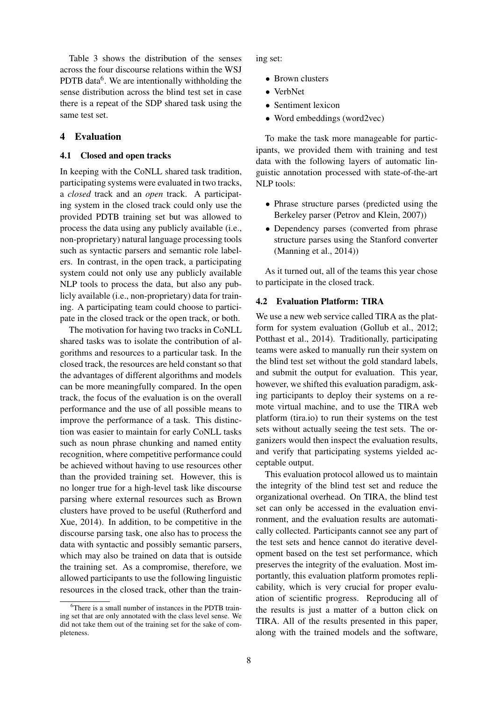Table 3 shows the distribution of the senses across the four discourse relations within the WSJ PDTB data<sup>6</sup>. We are intentionally withholding the sense distribution across the blind test set in case there is a repeat of the SDP shared task using the same test set.

## 4 Evaluation

#### 4.1 Closed and open tracks

In keeping with the CoNLL shared task tradition, participating systems were evaluated in two tracks, a *closed* track and an *open* track. A participating system in the closed track could only use the provided PDTB training set but was allowed to process the data using any publicly available (i.e., non-proprietary) natural language processing tools such as syntactic parsers and semantic role labelers. In contrast, in the open track, a participating system could not only use any publicly available NLP tools to process the data, but also any publicly available (i.e., non-proprietary) data for training. A participating team could choose to participate in the closed track or the open track, or both.

The motivation for having two tracks in CoNLL shared tasks was to isolate the contribution of algorithms and resources to a particular task. In the closed track, the resources are held constant so that the advantages of different algorithms and models can be more meaningfully compared. In the open track, the focus of the evaluation is on the overall performance and the use of all possible means to improve the performance of a task. This distinction was easier to maintain for early CoNLL tasks such as noun phrase chunking and named entity recognition, where competitive performance could be achieved without having to use resources other than the provided training set. However, this is no longer true for a high-level task like discourse parsing where external resources such as Brown clusters have proved to be useful (Rutherford and Xue, 2014). In addition, to be competitive in the discourse parsing task, one also has to process the data with syntactic and possibly semantic parsers, which may also be trained on data that is outside the training set. As a compromise, therefore, we allowed participants to use the following linguistic resources in the closed track, other than the training set:

- Brown clusters
- VerbNet
- Sentiment lexicon
- Word embeddings (word2vec)

To make the task more manageable for participants, we provided them with training and test data with the following layers of automatic linguistic annotation processed with state-of-the-art NLP tools:

- Phrase structure parses (predicted using the Berkeley parser (Petrov and Klein, 2007))
- Dependency parses (converted from phrase structure parses using the Stanford converter (Manning et al., 2014))

As it turned out, all of the teams this year chose to participate in the closed track.

## 4.2 Evaluation Platform: TIRA

We use a new web service called TIRA as the platform for system evaluation (Gollub et al., 2012; Potthast et al., 2014). Traditionally, participating teams were asked to manually run their system on the blind test set without the gold standard labels, and submit the output for evaluation. This year, however, we shifted this evaluation paradigm, asking participants to deploy their systems on a remote virtual machine, and to use the TIRA web platform (tira.io) to run their systems on the test sets without actually seeing the test sets. The organizers would then inspect the evaluation results, and verify that participating systems yielded acceptable output.

This evaluation protocol allowed us to maintain the integrity of the blind test set and reduce the organizational overhead. On TIRA, the blind test set can only be accessed in the evaluation environment, and the evaluation results are automatically collected. Participants cannot see any part of the test sets and hence cannot do iterative development based on the test set performance, which preserves the integrity of the evaluation. Most importantly, this evaluation platform promotes replicability, which is very crucial for proper evaluation of scientific progress. Reproducing all of the results is just a matter of a button click on TIRA. All of the results presented in this paper, along with the trained models and the software,

 $6$ There is a small number of instances in the PDTB training set that are only annotated with the class level sense. We did not take them out of the training set for the sake of completeness.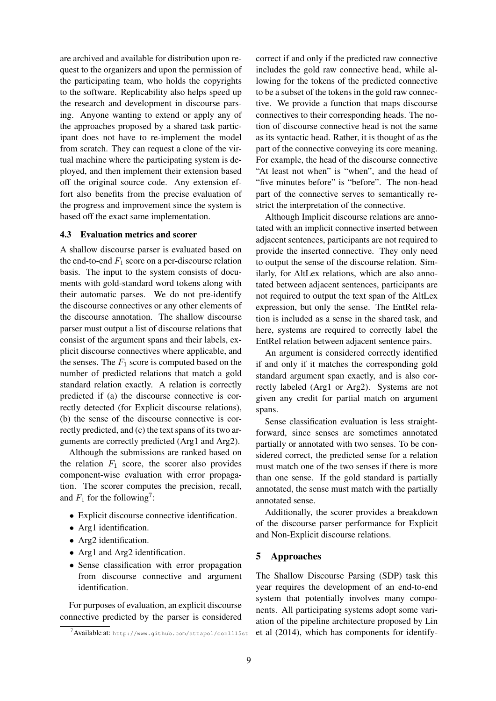are archived and available for distribution upon request to the organizers and upon the permission of the participating team, who holds the copyrights to the software. Replicability also helps speed up the research and development in discourse parsing. Anyone wanting to extend or apply any of the approaches proposed by a shared task participant does not have to re-implement the model from scratch. They can request a clone of the virtual machine where the participating system is deployed, and then implement their extension based off the original source code. Any extension effort also benefits from the precise evaluation of the progress and improvement since the system is based off the exact same implementation.

## 4.3 Evaluation metrics and scorer

A shallow discourse parser is evaluated based on the end-to-end  $F_1$  score on a per-discourse relation basis. The input to the system consists of documents with gold-standard word tokens along with their automatic parses. We do not pre-identify the discourse connectives or any other elements of the discourse annotation. The shallow discourse parser must output a list of discourse relations that consist of the argument spans and their labels, explicit discourse connectives where applicable, and the senses. The  $F_1$  score is computed based on the number of predicted relations that match a gold standard relation exactly. A relation is correctly predicted if (a) the discourse connective is correctly detected (for Explicit discourse relations), (b) the sense of the discourse connective is correctly predicted, and (c) the text spans of its two arguments are correctly predicted (Arg1 and Arg2).

Although the submissions are ranked based on the relation  $F_1$  score, the scorer also provides component-wise evaluation with error propagation. The scorer computes the precision, recall, and  $F_1$  for the following<sup>7</sup>:

- Explicit discourse connective identification.
- Arg1 identification.
- Arg2 identification.
- Arg1 and Arg2 identification.
- Sense classification with error propagation from discourse connective and argument identification.

For purposes of evaluation, an explicit discourse connective predicted by the parser is considered correct if and only if the predicted raw connective includes the gold raw connective head, while allowing for the tokens of the predicted connective to be a subset of the tokens in the gold raw connective. We provide a function that maps discourse connectives to their corresponding heads. The notion of discourse connective head is not the same as its syntactic head. Rather, it is thought of as the part of the connective conveying its core meaning. For example, the head of the discourse connective "At least not when" is "when", and the head of "five minutes before" is "before". The non-head part of the connective serves to semantically restrict the interpretation of the connective.

Although Implicit discourse relations are annotated with an implicit connective inserted between adjacent sentences, participants are not required to provide the inserted connective. They only need to output the sense of the discourse relation. Similarly, for AltLex relations, which are also annotated between adjacent sentences, participants are not required to output the text span of the AltLex expression, but only the sense. The EntRel relation is included as a sense in the shared task, and here, systems are required to correctly label the EntRel relation between adjacent sentence pairs.

An argument is considered correctly identified if and only if it matches the corresponding gold standard argument span exactly, and is also correctly labeled (Arg1 or Arg2). Systems are not given any credit for partial match on argument spans.

Sense classification evaluation is less straightforward, since senses are sometimes annotated partially or annotated with two senses. To be considered correct, the predicted sense for a relation must match one of the two senses if there is more than one sense. If the gold standard is partially annotated, the sense must match with the partially annotated sense.

Additionally, the scorer provides a breakdown of the discourse parser performance for Explicit and Non-Explicit discourse relations.

## 5 Approaches

The Shallow Discourse Parsing (SDP) task this year requires the development of an end-to-end system that potentially involves many components. All participating systems adopt some variation of the pipeline architecture proposed by Lin et al (2014), which has components for identify-

<sup>7</sup>Available at: http://www.github.com/attapol/conll15st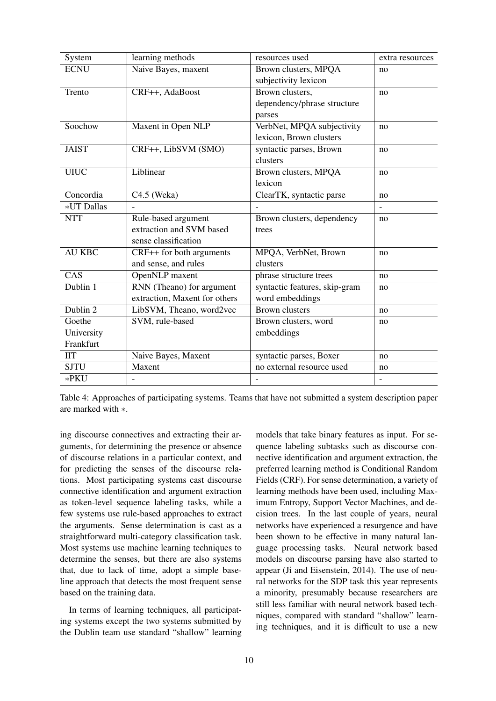| System                             | learning methods              | resources used                | extra resources          |
|------------------------------------|-------------------------------|-------------------------------|--------------------------|
| <b>ECNU</b>                        | Naive Bayes, maxent           | Brown clusters, MPQA          | no                       |
|                                    |                               | subjectivity lexicon          |                          |
| Trento                             | CRF++, AdaBoost               | Brown clusters,               | no                       |
|                                    |                               | dependency/phrase structure   |                          |
|                                    |                               | parses                        |                          |
| Soochow                            | Maxent in Open NLP            | VerbNet, MPQA subjectivity    | no                       |
|                                    |                               | lexicon, Brown clusters       |                          |
| <b>JAIST</b>                       | CRF++, LibSVM (SMO)           | syntactic parses, Brown       | no                       |
|                                    |                               | clusters                      |                          |
| <b>UIUC</b>                        | Liblinear                     | Brown clusters, MPQA          | no                       |
|                                    |                               | lexicon                       |                          |
| Concordia                          | $C4.5$ (Weka)                 | ClearTK, syntactic parse      | no                       |
| *UT Dallas                         |                               |                               | $\overline{a}$           |
| <b>NTT</b>                         | Rule-based argument           | Brown clusters, dependency    | no                       |
|                                    | extraction and SVM based      | trees                         |                          |
|                                    | sense classification          |                               |                          |
| <b>AU KBC</b>                      | CRF++ for both arguments      | MPQA, VerbNet, Brown          | no                       |
|                                    | and sense, and rules          | clusters                      |                          |
| CAS                                | OpenNLP maxent                | phrase structure trees        | no                       |
| Dublin 1                           | RNN (Theano) for argument     | syntactic features, skip-gram | no                       |
|                                    | extraction, Maxent for others | word embeddings               |                          |
| Dublin 2                           | LibSVM, Theano, word2vec      | <b>Brown clusters</b>         | no                       |
| Goethe                             | SVM, rule-based               | Brown clusters, word          | no                       |
| University                         |                               | embeddings                    |                          |
| Frankfurt                          |                               |                               |                          |
| $\mathbf{I} \mathbf{I} \mathbf{T}$ | Naive Bayes, Maxent           | syntactic parses, Boxer       | no                       |
| <b>SJTU</b>                        | Maxent                        | no external resource used     | no                       |
| *PKU                               |                               |                               | $\overline{\phantom{0}}$ |

Table 4: Approaches of participating systems. Teams that have not submitted a system description paper are marked with ∗.

ing discourse connectives and extracting their arguments, for determining the presence or absence of discourse relations in a particular context, and for predicting the senses of the discourse relations. Most participating systems cast discourse connective identification and argument extraction as token-level sequence labeling tasks, while a few systems use rule-based approaches to extract the arguments. Sense determination is cast as a straightforward multi-category classification task. Most systems use machine learning techniques to determine the senses, but there are also systems that, due to lack of time, adopt a simple baseline approach that detects the most frequent sense based on the training data.

In terms of learning techniques, all participating systems except the two systems submitted by the Dublin team use standard "shallow" learning

models that take binary features as input. For sequence labeling subtasks such as discourse connective identification and argument extraction, the preferred learning method is Conditional Random Fields (CRF). For sense determination, a variety of learning methods have been used, including Maximum Entropy, Support Vector Machines, and decision trees. In the last couple of years, neural networks have experienced a resurgence and have been shown to be effective in many natural language processing tasks. Neural network based models on discourse parsing have also started to appear (Ji and Eisenstein, 2014). The use of neural networks for the SDP task this year represents a minority, presumably because researchers are still less familiar with neural network based techniques, compared with standard "shallow" learning techniques, and it is difficult to use a new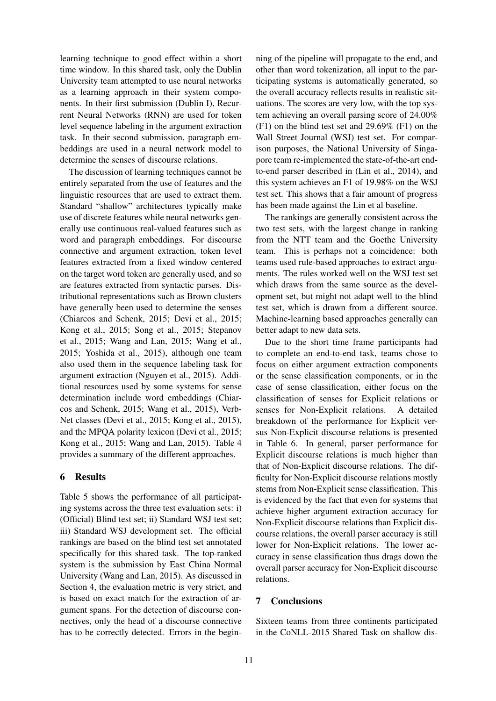learning technique to good effect within a short time window. In this shared task, only the Dublin University team attempted to use neural networks as a learning approach in their system components. In their first submission (Dublin I), Recurrent Neural Networks (RNN) are used for token level sequence labeling in the argument extraction task. In their second submission, paragraph embeddings are used in a neural network model to determine the senses of discourse relations.

The discussion of learning techniques cannot be entirely separated from the use of features and the linguistic resources that are used to extract them. Standard "shallow" architectures typically make use of discrete features while neural networks generally use continuous real-valued features such as word and paragraph embeddings. For discourse connective and argument extraction, token level features extracted from a fixed window centered on the target word token are generally used, and so are features extracted from syntactic parses. Distributional representations such as Brown clusters have generally been used to determine the senses (Chiarcos and Schenk, 2015; Devi et al., 2015; Kong et al., 2015; Song et al., 2015; Stepanov et al., 2015; Wang and Lan, 2015; Wang et al., 2015; Yoshida et al., 2015), although one team also used them in the sequence labeling task for argument extraction (Nguyen et al., 2015). Additional resources used by some systems for sense determination include word embeddings (Chiarcos and Schenk, 2015; Wang et al., 2015), Verb-Net classes (Devi et al., 2015; Kong et al., 2015), and the MPQA polarity lexicon (Devi et al., 2015; Kong et al., 2015; Wang and Lan, 2015). Table 4 provides a summary of the different approaches.

# 6 Results

Table 5 shows the performance of all participating systems across the three test evaluation sets: i) (Official) Blind test set; ii) Standard WSJ test set; iii) Standard WSJ development set. The official rankings are based on the blind test set annotated specifically for this shared task. The top-ranked system is the submission by East China Normal University (Wang and Lan, 2015). As discussed in Section 4, the evaluation metric is very strict, and is based on exact match for the extraction of argument spans. For the detection of discourse connectives, only the head of a discourse connective has to be correctly detected. Errors in the begin-

ning of the pipeline will propagate to the end, and other than word tokenization, all input to the participating systems is automatically generated, so the overall accuracy reflects results in realistic situations. The scores are very low, with the top system achieving an overall parsing score of 24.00% (F1) on the blind test set and 29.69% (F1) on the Wall Street Journal (WSJ) test set. For comparison purposes, the National University of Singapore team re-implemented the state-of-the-art endto-end parser described in (Lin et al., 2014), and this system achieves an F1 of 19.98% on the WSJ test set. This shows that a fair amount of progress has been made against the Lin et al baseline.

The rankings are generally consistent across the two test sets, with the largest change in ranking from the NTT team and the Goethe University team. This is perhaps not a coincidence: both teams used rule-based approaches to extract arguments. The rules worked well on the WSJ test set which draws from the same source as the development set, but might not adapt well to the blind test set, which is drawn from a different source. Machine-learning based approaches generally can better adapt to new data sets.

Due to the short time frame participants had to complete an end-to-end task, teams chose to focus on either argument extraction components or the sense classification components, or in the case of sense classification, either focus on the classification of senses for Explicit relations or senses for Non-Explicit relations. A detailed breakdown of the performance for Explicit versus Non-Explicit discourse relations is presented in Table 6. In general, parser performance for Explicit discourse relations is much higher than that of Non-Explicit discourse relations. The difficulty for Non-Explicit discourse relations mostly stems from Non-Explicit sense classification. This is evidenced by the fact that even for systems that achieve higher argument extraction accuracy for Non-Explicit discourse relations than Explicit discourse relations, the overall parser accuracy is still lower for Non-Explicit relations. The lower accuracy in sense classification thus drags down the overall parser accuracy for Non-Explicit discourse relations.

# 7 Conclusions

Sixteen teams from three continents participated in the CoNLL-2015 Shared Task on shallow dis-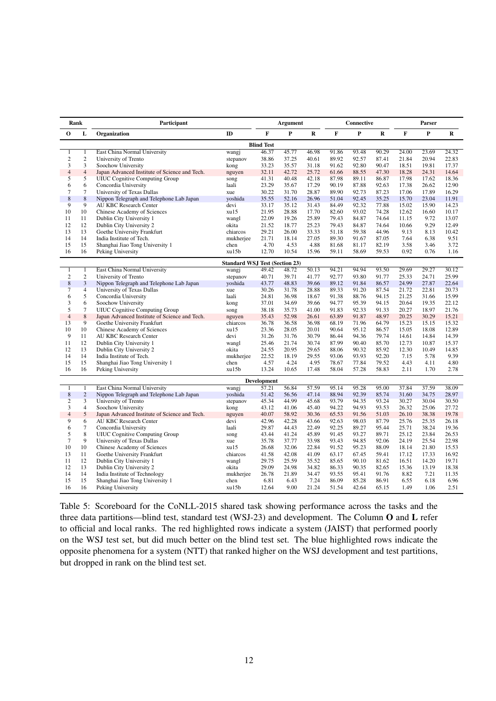|                     | Rank<br>Participant |                                                                        |                                       | <b>Argument</b>    |                |                | Connective     |                |                | Parser         |                |                |
|---------------------|---------------------|------------------------------------------------------------------------|---------------------------------------|--------------------|----------------|----------------|----------------|----------------|----------------|----------------|----------------|----------------|
| 0                   | L                   | Organization                                                           | $\mathbf{D}$                          | F                  | P              | R              | F              | P              | R              | F              | P              | R              |
|                     |                     | <b>Blind Test</b>                                                      |                                       |                    |                |                |                |                |                |                |                |                |
| 1                   | 1                   | East China Normal University                                           | wangj                                 | 46.37              | 45.77          | 46.98          | 91.86          | 93.48          | 90.29          | 24.00          | 23.69          | 24.32          |
| $\boldsymbol{2}$    | 2                   | University of Trento                                                   | stepanov                              | 38.86              | 37.25          | 40.61          | 89.92          | 92.57          | 87.41          | 21.84          | 20.94          | 22.83          |
| 3                   | 3                   | Soochow University                                                     | kong                                  | 33.23              | 35.57          | 31.18          | 91.62          | 92.80          | 90.47          | 18.51          | 19.81          | 17.37          |
| $\overline{4}$      | $\overline{4}$      | Japan Advanced Institute of Science and Tech.                          | nguyen                                | 32.11              | 42.72          | 25.72          | 61.66          | 88.55          | 47.30          | 18.28          | 24.31          | 14.64          |
| 5                   | 5                   | <b>UIUC</b> Cognitive Computing Group                                  | song                                  | 41.31              | 40.48          | 42.18          | 87.98          | 89.11          | 86.87          | 17.98          | 17.62          | 18.36          |
| 6                   | 6                   | Concordia University                                                   | laali                                 | 23.29              | 35.67          | 17.29          | 90.19          | 87.88          | 92.63          | 17.38          | 26.62          | 12.90          |
| $\tau$              | $\overline{7}$      | University of Texas Dallas                                             | xue                                   | 30.22              | 31.70          | 28.87          | 89.90          | 92.73          | 87.23          | 17.06          | 17.89          | 16.29          |
| $\,$ 8 $\,$         | $\,$ 8 $\,$         | Nippon Telegraph and Telephone Lab Japan                               | yoshida                               | 35.55              | 52.16          | 26.96          | 51.04          | 92.45          | 35.25          | 15.70          | 23.04          | 11.91          |
| 9                   | 9                   | <b>AU KBC Research Center</b>                                          | devi                                  | 33.17              | 35.12          | 31.43          | 84.49          | 92.32          | 77.88          | 15.02          | 15.90          | 14.23          |
| 10                  | 10                  | Chinese Academy of Sciences                                            | xu15                                  | 21.95              | 28.88          | 17.70          | 82.60          | 93.02          | 74.28          | 12.62          | 16.60          | 10.17          |
| 11                  | 11                  | Dublin City University 1                                               | wangl                                 | 22.09              | 19.26          | 25.89          | 79.43          | 84.87          | 74.64          | 11.15          | 9.72           | 13.07          |
| 12<br>13            | 12<br>13            | Dublin City University 2                                               | okita                                 | 21.52              | 18.77          | 25.23          | 79.43          | 84.87          | 74.64          | 10.66          | 9.29           | 12.49          |
| 14                  | 14                  | Goethe University Frankfurt                                            | chiarcos                              | 29.21              | 26.00          | 33.33          | 51.18          | 59.38<br>91.67 | 44.96          | 9.13<br>7.64   | 8.13<br>6.38   | 10.42<br>9.51  |
| 15                  | 15                  | India Institute of Tech.                                               | mukherjee                             | 21.71<br>4.70      | 18.14<br>4.53  | 27.05<br>4.88  | 89.30          |                | 87.05<br>82.19 | 3.58           | 3.46           | 3.72           |
| 16                  | 16                  | Shanghai Jiao Tong University 1                                        | chen<br>xu15b                         | 12.70              | 10.54          | 15.96          | 81.68<br>59.11 | 81.17<br>58.69 | 59.53          | 0.92           | 0.76           | 1.16           |
|                     |                     | Peking University                                                      |                                       |                    |                |                |                |                |                |                |                |                |
|                     |                     |                                                                        | <b>Standard WSJ Test (Section 23)</b> |                    |                |                |                |                |                |                |                |                |
| 1                   | 1<br>$\overline{2}$ | East China Normal University                                           | wangj                                 | 49.42              | 48.72          | 50.13          | 94.21          | 94.94          | 93.50          | 29.69          | 29.27          | 30.12          |
| $\mathbf{2}$        | 3                   | University of Trento                                                   | stepanov                              | 40.71              | 39.71          | 41.77          | 92.77<br>89.12 | 93.80<br>91.84 | 91.77<br>86.57 | 25.33          | 24.71<br>27.87 | 25.99<br>22.64 |
| 8<br>$\overline{7}$ | $\overline{4}$      | Nippon Telegraph and Telephone Lab Japan<br>University of Texas Dallas | yoshida<br>xue                        | 43.77<br>30.26     | 48.83<br>31.78 | 39.66<br>28.88 | 89.33          | 91.20          | 87.54          | 24.99<br>21.72 | 22.81          | 20.73          |
| 6                   | 5                   | Concordia University                                                   | laali                                 | 24.81              | 36.98          | 18.67          | 91.38          | 88.76          | 94.15          | 21.25          | 31.66          | 15.99          |
| 3                   | 6                   | Soochow University                                                     | kong                                  | 37.01              | 34.69          | 39.66          | 94.77          | 95.39          | 94.15          | 20.64          | 19.35          | 22.12          |
| 5                   | 7                   | <b>UIUC</b> Cognitive Computing Group                                  | song                                  | 38.18              | 35.73          | 41.00          | 91.83          | 92.33          | 91.33          | 20.27          | 18.97          | 21.76          |
| $\overline{4}$      | 8                   | Japan Advanced Institute of Science and Tech.                          | nguyen                                | 35.43              | 52.98          | 26.61          | 63.89          | 91.87          | 48.97          | 20.25          | 30.29          | 15.21          |
| 13                  | $\overline{9}$      | Goethe University Frankfurt                                            | chiarcos                              | 36.78              | 36.58          | 36.98          | 68.19          | 71.96          | 64.79          | 15.23          | 15.15          | 15.32          |
| 10                  | 10                  | Chinese Academy of Sciences                                            | xu15                                  | 23.36              | 28.05          | 20.01          | 90.64          | 95.12          | 86.57          | 15.05          | 18.08          | 12.89          |
| 9                   | 11                  | <b>AU KBC Research Center</b>                                          | devi                                  | 31.26              | 31.76          | 30.79          | 86.44          | 94.36          | 79.74          | 14.61          | 14.84          | 14.39          |
| 11                  | 12                  | Dublin City University 1                                               | wangl                                 | 25.46              | 21.74          | 30.74          | 87.99          | 90.40          | 85.70          | 12.73          | 10.87          | 15.37          |
| 12                  | 13                  | Dublin City University 2                                               | okita                                 | 24.55              | 20.95          | 29.65          | 88.06          | 90.32          | 85.92          | 12.30          | 10.49          | 14.85          |
| 14                  | 14                  | India Institute of Tech.                                               | mukherjee                             | 22.52              | 18.19          | 29.55          | 93.06          | 93.93          | 92.20          | 7.15           | 5.78           | 9.39           |
| 15                  | 15                  | Shanghai Jiao Tong University 1                                        | chen                                  | 4.57               | 4.24           | 4.95           | 78.67          | 77.84          | 79.52          | 4.43           | 4.11           | 4.80           |
| 16                  | 16                  | Peking University                                                      | xu15b                                 | 13.24              | 10.65          | 17.48          | 58.04          | 57.28          | 58.83          | 2.11           | 1.70           | 2.78           |
|                     |                     |                                                                        |                                       | <b>Development</b> |                |                |                |                |                |                |                |                |
| 1                   | 1                   | East China Normal University                                           | wangj                                 | 57.21              | 56.84          | 57.59          | 95.14          | 95.28          | 95.00          | 37.84          | 37.59          | 38.09          |
| $8\phantom{1}$      | $\overline{2}$      | Nippon Telegraph and Telephone Lab Japan                               | yoshida                               | 51.42              | 56.56          | 47.14          | 88.94          | 92.39          | 85.74          | 31.60          | 34.75          | 28.97          |
| $\overline{2}$      | $\overline{3}$      | University of Trento                                                   | stepanov                              | 45.34              | 44.99          | 45.68          | 93.79          | 94.35          | 93.24          | 30.27          | 30.04          | 30.50          |
| 3                   | $\overline{4}$      | Soochow University                                                     | kong                                  | 43.12              | 41.06          | 45.40          | 94.22          | 94.93          | 93.53          | 26.32          | 25.06          | 27.72          |
| $\overline{4}$      | 5                   | Japan Advanced Institute of Science and Tech.                          | nguyen                                | 40.07              | 58.92          | 30.36          | 65.53          | 91.56          | 51.03          | 26.10          | 38.38          | 19.78          |
| 9                   | 6                   | <b>AU KBC Research Center</b>                                          | devi                                  | 42.96              | 42.28          | 43.66          | 92.63          | 98.03          | 87.79          | 25.76          | 25.35          | 26.18          |
| 6                   | $\overline{7}$      | Concordia University                                                   | laali                                 | 29.87              | 44.43          | 22.49          | 92.25          | 89.27          | 95.44          | 25.71          | 38.24          | 19.36          |
| 5                   | 8                   | <b>UIUC</b> Cognitive Computing Group                                  | song                                  | 43.44              | 41.24          | 45.89          | 91.45          | 93.27          | 89.71          | 25.12          | 23.84          | 26.53          |
| $\overline{7}$      | 9                   | University of Texas Dallas                                             | xue                                   | 35.78              | 37.77          | 33.98          | 93.43          | 94.85          | 92.06          | 24.19          | 25.54          | 22.98          |
| 10                  | 10                  | Chinese Academy of Sciences                                            | xu15                                  | 26.68              | 32.06          | 22.84          | 91.52          | 95.23          | 88.09          | 18.14          | 21.80          | 15.53          |
| 13                  | 11                  | Goethe University Frankfurt                                            | chiarcos                              | 41.58              | 42.08          | 41.09          | 63.17          | 67.45          | 59.41          | 17.12          | 17.33          | 16.92          |
| 11                  | 12                  | Dublin City University 1                                               | wangl                                 | 29.75              | 25.59          | 35.52          | 85.65          | 90.10          | 81.62          | 16.51          | 14.20          | 19.71          |
| 12                  | 13                  | Dublin City University 2                                               | okita                                 | 29.09              | 24.98          | 34.82          | 86.33          | 90.35          | 82.65          | 15.36          | 13.19          | 18.38          |
| 14                  | 14                  | India Institute of Technology                                          | mukherjee                             | 26.78              | 21.89          | 34.47          | 93.55          | 95.41          | 91.76          | 8.82           | 7.21           | 11.35          |
| 15                  | 15                  | Shanghai Jiao Tong University 1                                        | chen                                  | 6.81               | 6.43           | 7.24           | 86.09          | 85.28          | 86.91          | 6.55           | 6.18           | 6.96           |
| 16                  | 16                  | Peking University                                                      | xu15b                                 | 12.64              | 9.00           | 21.24          | 51.54          | 42.64          | 65.15          | 1.49           | 1.06           | 2.51           |

Table 5: Scoreboard for the CoNLL-2015 shared task showing performance across the tasks and the three data partitions—blind test, standard test (WSJ-23) and development. The Column O and L refer to official and local ranks. The red highlighted rows indicate a system (JAIST) that performed poorly on the WSJ test set, but did much better on the blind test set. The blue highlighted rows indicate the opposite phenomena for a system (NTT) that ranked higher on the WSJ development and test partitions, but dropped in rank on the blind test set.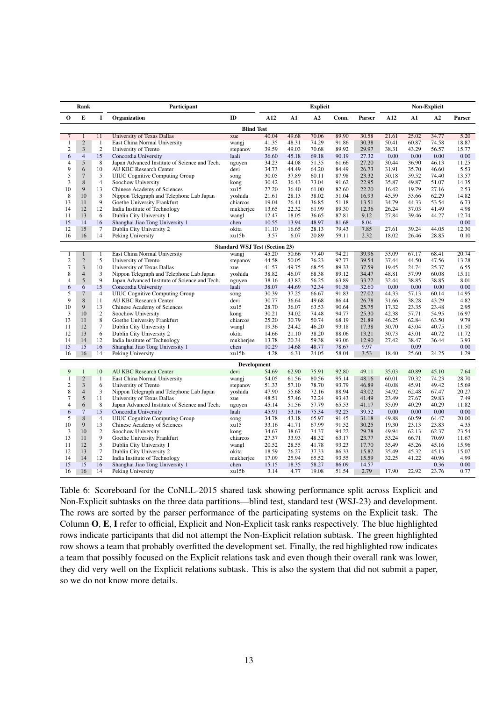|                         | Rank                    | Participant     |                                               | <b>Explicit</b>                       |       |       |       | <b>Non-Explicit</b> |        |       |       |       |        |
|-------------------------|-------------------------|-----------------|-----------------------------------------------|---------------------------------------|-------|-------|-------|---------------------|--------|-------|-------|-------|--------|
| 0                       | E                       | I               | <b>Organization</b>                           | ID                                    | A12   | A1    | A2    | Conn.               | Parser | A12   | A1    | A2    | Parser |
|                         | <b>Blind Test</b>       |                 |                                               |                                       |       |       |       |                     |        |       |       |       |        |
| $\overline{7}$          | $\mathbf{1}$            | 11              | University of Texas Dallas                    | xue                                   | 40.04 | 49.68 | 70.06 | 89.90               | 30.58  | 21.61 | 25.02 | 34.77 | 5.20   |
| 1                       | $\overline{2}$          | $\overline{1}$  | East China Normal University                  | wangj                                 | 41.35 | 48.31 | 74.29 | 91.86               | 30.38  | 50.41 | 60.87 | 74.58 | 18.87  |
| $\boldsymbol{2}$        | $\overline{3}$          | $\overline{2}$  | University of Trento                          | stepanov                              | 39.59 | 49.03 | 70.68 | 89.92               | 29.97  | 38.31 | 43.29 | 56.57 | 15.77  |
| 6                       | $\overline{4}$          | 15              | Concordia University                          | laali                                 | 36.60 | 45.18 | 69.18 | 90.19               | 27.32  | 0.00  | 0.00  | 0.00  | 0.00   |
| $\overline{4}$          | 5                       | 8               | Japan Advanced Institute of Science and Tech. | nguyen                                | 34.23 | 44.08 | 51.35 | 61.66               | 27.20  | 30.44 | 36.90 | 46.13 | 11.25  |
| 9                       | 6                       | 10              | <b>AU KBC Research Center</b>                 | devi                                  | 34.73 | 44.49 | 64.20 | 84.49               | 26.73  | 31.91 | 35.70 | 46.60 | 5.53   |
| 5                       | $\overline{7}$          | 5               | <b>UIUC</b> Cognitive Computing Group         | song                                  | 30.05 | 37.89 | 60.11 | 87.98               | 23.32  | 50.18 | 59.52 | 74.40 | 13.57  |
| 3                       | 8                       | $\overline{4}$  | Soochow University                            | kong                                  | 30.42 | 36.43 | 73.04 | 91.62               | 22.95  | 35.87 | 49.87 | 51.07 | 14.35  |
| 10                      | 9                       | 13              | Chinese Academy of Sciences                   | xu15                                  | 27.20 | 36.40 | 61.00 | 82.60               | 22.20  | 16.42 | 19.79 | 27.16 | 2.53   |
| 8                       | 10                      | 3               | Nippon Telegraph and Telephone Lab Japan      | yoshida                               | 21.61 | 28.13 | 38.02 | 51.04               | 16.93  | 45.59 | 53.66 | 62.29 | 14.82  |
| 13                      | 11                      | 9               | Goethe University Frankfurt                   | chiarcos                              | 19.04 | 26.41 | 36.85 | 51.18               | 13.51  | 34.79 | 44.33 | 53.54 | 6.73   |
| 14                      | 12                      | 12              | India Institute of Technology                 | mukherjee                             | 13.65 | 22.32 | 61.99 | 89.30               | 12.36  | 26.24 | 37.03 | 41.49 | 4.98   |
| 11                      | 13                      | 6               | Dublin City University 1                      | wangl                                 | 12.47 | 18.05 | 36.65 | 87.81               | 9.12   | 27.84 | 39.46 | 44.27 | 12.74  |
| 15                      | 14                      | 16              | Shanghai Jiao Tong University 1               | chen                                  | 10.55 | 13.94 | 48.97 | 81.68               | 8.04   |       |       |       | 0.00   |
| 12                      | 15                      | 7               | Dublin City University 2                      | okita                                 | 11.10 | 16.65 | 28.13 | 79.43               | 7.85   | 27.61 | 39.24 | 44.05 | 12.30  |
| 16                      | 16                      | 14              | Peking University                             | xu15b                                 | 3.57  | 6.07  | 20.89 | 59.11               | 2.32   | 18.02 | 26.46 | 28.85 | 0.10   |
|                         |                         |                 |                                               | <b>Standard WSJ Test (Section 23)</b> |       |       |       |                     |        |       |       |       |        |
| 1                       | $\mathbf{1}$            | 1               | East China Normal University                  | wangj                                 | 45.20 | 50.66 | 77.40 | 94.21               | 39.96  | 53.09 | 67.17 | 68.41 | 20.74  |
| $\sqrt{2}$              | $\overline{c}$          | 5               | University of Trento                          | stepanov                              | 44.58 | 50.05 | 76.23 | 92.77               | 39.54  | 37.44 | 44.50 | 47.56 | 13.28  |
| $\tau$                  | $\overline{\mathbf{3}}$ | 10              | University of Texas Dallas                    | xue                                   | 41.57 | 49.75 | 68.55 | 89.33               | 37.59  | 19.45 | 24.74 | 25.37 | 6.55   |
| 8                       | $\overline{4}$          | 3               | Nippon Telegraph and Telephone Lab Japan      | yoshida                               | 38.82 | 46.07 | 68.38 | 89.12               | 34.47  | 48.81 | 57.99 | 60.08 | 15.11  |
| $\overline{4}$          | 5                       | 9               | Japan Advanced Institute of Science and Tech. | nguyen                                | 38.16 | 43.82 | 56.25 | 63.89               | 33.22  | 32.44 | 38.85 | 38.85 | 8.01   |
| 6                       | 6                       | 15              | Concordia University                          | laali                                 | 38.07 | 44.69 | 72.34 | 91.38               | 32.60  | 0.00  | 0.00  | 0.00  | 0.00   |
| 5                       | $\tau$                  | $\overline{4}$  | <b>UIUC Cognitive Computing Group</b>         | song                                  | 30.39 | 37.25 | 66.67 | 91.83               | 27.02  | 44.33 | 57.13 | 60.14 | 14.95  |
| 9                       | 8                       | 11              | <b>AU KBC Research Center</b>                 | devi                                  | 30.77 | 36.64 | 49.68 | 86.44               | 26.78  | 31.66 | 38.28 | 43.29 | 4.82   |
| 10                      | 9                       | 13              | Chinese Academy of Sciences                   | xu15                                  | 28.70 | 36.07 | 63.53 | 90.64               | 25.75  | 17.32 | 23.35 | 23.48 | 2.95   |
| 3                       | 10                      | $\overline{c}$  | Soochow University                            | kong                                  | 30.21 | 34.02 | 74.48 | 94.77               | 25.30  | 42.38 | 57.71 | 54.95 | 16.97  |
| 13                      | 11                      | 8               | Goethe University Frankfurt                   | chiarcos                              | 25.20 | 30.79 | 50.74 | 68.19               | 21.89  | 46.25 | 62.84 | 63.50 | 9.79   |
| 11                      | 12                      | $\tau$          | Dublin City University 1                      | wangl                                 | 19.36 | 24.42 | 46.20 | 93.18               | 17.38  | 30.70 | 43.04 | 40.75 | 11.50  |
| 12                      | 13                      | 6               | Dublin City University 2                      | okita                                 | 14.66 | 21.10 | 38.20 | 88.06               | 13.21  | 30.73 | 43.01 | 40.72 | 11.72  |
| 14                      | 14                      | 12              | India Institute of Technology                 | mukherjee                             | 13.78 | 20.34 | 59.38 | 93.06               | 12.90  | 27.42 | 38.47 | 36.44 | 3.93   |
| 15                      | 15                      | 16              | Shanghai Jiao Tong University 1               | chen                                  | 10.29 | 14.68 | 48.77 | 78.67               | 9.97   |       | 0.09  |       | 0.00   |
| 16                      | 16                      | 14              | <b>Peking University</b>                      | xu15b                                 | 4.28  | 6.31  | 24.05 | 58.04               | 3.53   | 18.40 | 25.60 | 24.25 | 1.29   |
|                         |                         |                 |                                               | <b>Development</b>                    |       |       |       |                     |        |       |       |       |        |
| 9                       | $\mathbf{1}$            | 10              | <b>AU KBC Research Center</b>                 | devi                                  | 54.69 | 62.90 | 75.91 | 92.80               | 49.11  | 35.03 | 40.89 | 45.10 | 7.64   |
| 1                       | $\overline{2}$          | -1              | East China Normal University                  | wangj                                 | 54.05 | 61.56 | 80.56 | 95.14               | 48.16  | 60.01 | 70.32 | 74.23 | 28.70  |
| $\overline{\mathbf{c}}$ | 3                       | 6               | University of Trento                          | stepanov                              | 51.33 | 57.10 | 78.70 | 93.79               | 46.89  | 40.08 | 45.91 | 49.42 | 15.69  |
| 8                       | $\overline{4}$          | 3               | Nippon Telegraph and Telephone Lab Japan      | yoshida                               | 47.90 | 55.68 | 72.16 | 88.94               | 43.02  | 54.92 | 62.48 | 67.47 | 20.27  |
| 7                       | 5                       | 11              | University of Texas Dallas                    | xue                                   | 48.51 | 57.46 | 72.24 | 93.43               | 41.49  | 23.49 | 27.67 | 29.83 | 7.49   |
| 4                       | 6                       | 8               | Japan Advanced Institute of Science and Tech. | nguyen                                | 45.14 | 51.56 | 57.79 | 65.53               | 41.17  | 35.09 | 40.29 | 40.29 | 11.82  |
| 6                       | $\overline{7}$          | 15              | Concordia University                          | laali                                 | 45.91 | 53.16 | 75.34 | 92.25               | 39.52  | 0.00  | 0.00  | 0.00  | 0.00   |
| 5                       | 8                       | $\overline{4}$  | <b>UIUC Cognitive Computing Group</b>         | song                                  | 34.78 | 43.18 | 65.97 | 91.45               | 31.18  | 49.88 | 60.59 | 64.47 | 20.00  |
| 10                      | 9                       | 13              | Chinese Academy of Sciences                   | xu15                                  | 33.16 | 41.71 | 67.99 | 91.52               | 30.25  | 19.30 | 23.13 | 23.83 | 4.35   |
| 3                       | 10                      | $\overline{2}$  | Soochow University                            | kong                                  | 34.67 | 38.67 | 74.37 | 94.22               | 29.78  | 49.94 | 62.13 | 62.37 | 23.54  |
| 13                      | 11                      | 9               | Goethe University Frankfurt                   | chiarcos                              | 27.37 | 33.93 | 48.32 | 63.17               | 23.77  | 53.24 | 66.71 | 70.69 | 11.67  |
| 11                      | 12                      | 5               | Dublin City University 1                      | wangl                                 | 20.52 | 28.55 | 41.78 | 93.23               | 17.70  | 35.49 | 45.26 | 45.16 | 15.96  |
| 12                      | 13                      | $7\phantom{.0}$ | Dublin City University 2                      | okita                                 | 18.59 | 26.27 | 37.33 | 86.33               | 15.82  | 35.49 | 45.32 | 45.13 | 15.07  |
| 14                      | 14                      | 12              | India Institute of Technology                 | mukherjee                             | 17.09 | 25.94 | 65.52 | 93.55               | 15.59  | 32.25 | 41.22 | 40.96 | 4.99   |
| 15                      | 15                      | 16              | Shanghai Jiao Tong University 1               | chen                                  | 15.15 | 18.35 | 58.27 | 86.09               | 14.57  |       |       | 0.36  | 0.00   |
| 16                      | 16                      | 14              | Peking University                             | xu15b                                 | 3.14  | 4.77  | 19.08 | 51.54               | 2.79   | 17.90 | 22.92 | 23.76 | 0.77   |
|                         |                         |                 |                                               |                                       |       |       |       |                     |        |       |       |       |        |

Table 6: Scoreboard for the CoNLL-2015 shared task showing performance split across Explicit and Non-Explicit subtasks on the three data partitions—blind test, standard test (WSJ-23) and development. The rows are sorted by the parser performance of the participating systems on the Explicit task. The Column O, E, I refer to official, Explicit and Non-Explicit task ranks respectively. The blue highlighted rows indicate participants that did not attempt the Non-Explicit relation subtask. The green highlighted row shows a team that probably overfitted the development set. Finally, the red highlighted row indicates a team that possibly focused on the Explicit relations task and even though their overall rank was lower, they did very well on the Explicit relations subtask. This is also the system that did not submit a paper, so we do not know more details.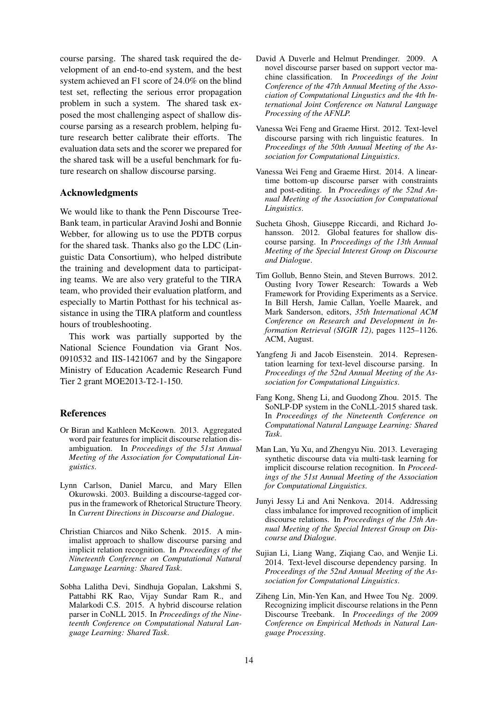course parsing. The shared task required the development of an end-to-end system, and the best system achieved an F1 score of 24.0% on the blind test set, reflecting the serious error propagation problem in such a system. The shared task exposed the most challenging aspect of shallow discourse parsing as a research problem, helping future research better calibrate their efforts. The evaluation data sets and the scorer we prepared for the shared task will be a useful benchmark for future research on shallow discourse parsing.

## Acknowledgments

We would like to thank the Penn Discourse Tree-Bank team, in particular Aravind Joshi and Bonnie Webber, for allowing us to use the PDTB corpus for the shared task. Thanks also go the LDC (Linguistic Data Consortium), who helped distribute the training and development data to participating teams. We are also very grateful to the TIRA team, who provided their evaluation platform, and especially to Martin Potthast for his technical assistance in using the TIRA platform and countless hours of troubleshooting.

This work was partially supported by the National Science Foundation via Grant Nos. 0910532 and IIS-1421067 and by the Singapore Ministry of Education Academic Research Fund Tier 2 grant MOE2013-T2-1-150.

# References

- Or Biran and Kathleen McKeown. 2013. Aggregated word pair features for implicit discourse relation disambiguation. In *Proceedings of the 51st Annual Meeting of the Association for Computational Linguistics*.
- Lynn Carlson, Daniel Marcu, and Mary Ellen Okurowski. 2003. Building a discourse-tagged corpus in the framework of Rhetorical Structure Theory. In *Current Directions in Discourse and Dialogue*.
- Christian Chiarcos and Niko Schenk. 2015. A minimalist approach to shallow discourse parsing and implicit relation recognition. In *Proceedings of the Nineteenth Conference on Computational Natural Language Learning: Shared Task*.
- Sobha Lalitha Devi, Sindhuja Gopalan, Lakshmi S, Pattabhi RK Rao, Vijay Sundar Ram R., and Malarkodi C.S. 2015. A hybrid discourse relation parser in CoNLL 2015. In *Proceedings of the Nineteenth Conference on Computational Natural Language Learning: Shared Task*.
- David A Duverle and Helmut Prendinger. 2009. A novel discourse parser based on support vector machine classification. In *Proceedings of the Joint Conference of the 47th Annual Meeting of the Association of Computational Lingustics and the 4th International Joint Conference on Natural Language Processing of the AFNLP.*
- Vanessa Wei Feng and Graeme Hirst. 2012. Text-level discourse parsing with rich linguistic features. In *Proceedings of the 50th Annual Meeting of the Association for Computational Linguistics*.
- Vanessa Wei Feng and Graeme Hirst. 2014. A lineartime bottom-up discourse parser with constraints and post-editing. In *Proceedings of the 52nd Annual Meeting of the Association for Computational Linguistics*.
- Sucheta Ghosh, Giuseppe Riccardi, and Richard Johansson. 2012. Global features for shallow discourse parsing. In *Proceedings of the 13th Annual Meeting of the Special Interest Group on Discourse and Dialogue*.
- Tim Gollub, Benno Stein, and Steven Burrows. 2012. Ousting Ivory Tower Research: Towards a Web Framework for Providing Experiments as a Service. In Bill Hersh, Jamie Callan, Yoelle Maarek, and Mark Sanderson, editors, *35th International ACM Conference on Research and Development in Information Retrieval (SIGIR 12)*, pages 1125–1126. ACM, August.
- Yangfeng Ji and Jacob Eisenstein. 2014. Representation learning for text-level discourse parsing. In *Proceedings of the 52nd Annual Meeting of the Association for Computational Linguistics*.
- Fang Kong, Sheng Li, and Guodong Zhou. 2015. The SoNLP-DP system in the CoNLL-2015 shared task. In *Proceedings of the Nineteenth Conference on Computational Natural Language Learning: Shared Task*.
- Man Lan, Yu Xu, and Zhengyu Niu. 2013. Leveraging synthetic discourse data via multi-task learning for implicit discourse relation recognition. In *Proceedings of the 51st Annual Meeting of the Association for Computational Linguistics*.
- Junyi Jessy Li and Ani Nenkova. 2014. Addressing class imbalance for improved recognition of implicit discourse relations. In *Proceedings of the 15th Annual Meeting of the Special Interest Group on Discourse and Dialogue*.
- Sujian Li, Liang Wang, Ziqiang Cao, and Wenjie Li. 2014. Text-level discourse dependency parsing. In *Proceedings of the 52nd Annual Meeting of the Association for Computational Linguistics*.
- Ziheng Lin, Min-Yen Kan, and Hwee Tou Ng. 2009. Recognizing implicit discourse relations in the Penn Discourse Treebank. In *Proceedings of the 2009 Conference on Empirical Methods in Natural Language Processing*.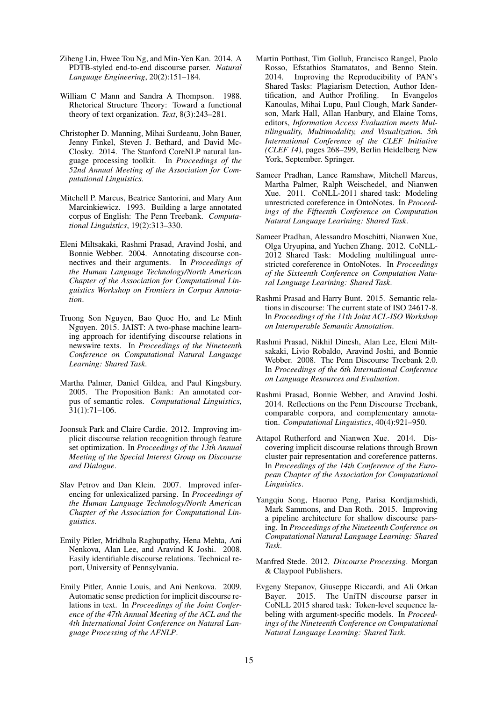- Ziheng Lin, Hwee Tou Ng, and Min-Yen Kan. 2014. A PDTB-styled end-to-end discourse parser. *Natural Language Engineering*, 20(2):151–184.
- William C Mann and Sandra A Thompson. 1988. Rhetorical Structure Theory: Toward a functional theory of text organization. *Text*, 8(3):243–281.
- Christopher D. Manning, Mihai Surdeanu, John Bauer, Jenny Finkel, Steven J. Bethard, and David Mc-Closky. 2014. The Stanford CoreNLP natural language processing toolkit. In *Proceedings of the 52nd Annual Meeting of the Association for Computational Linguistics.*
- Mitchell P. Marcus, Beatrice Santorini, and Mary Ann Marcinkiewicz. 1993. Building a large annotated corpus of English: The Penn Treebank. *Computational Linguistics*, 19(2):313–330.
- Eleni Miltsakaki, Rashmi Prasad, Aravind Joshi, and Bonnie Webber. 2004. Annotating discourse connectives and their arguments. In *Proceedings of the Human Language Technology/North American Chapter of the Association for Computational Linguistics Workshop on Frontiers in Corpus Annotation*.
- Truong Son Nguyen, Bao Quoc Ho, and Le Minh Nguyen. 2015. JAIST: A two-phase machine learning approach for identifying discourse relations in newswire texts. In *Proceedings of the Nineteenth Conference on Computational Natural Language Learning: Shared Task*.
- Martha Palmer, Daniel Gildea, and Paul Kingsbury. 2005. The Proposition Bank: An annotated corpus of semantic roles. *Computational Linguistics*, 31(1):71–106.
- Joonsuk Park and Claire Cardie. 2012. Improving implicit discourse relation recognition through feature set optimization. In *Proceedings of the 13th Annual Meeting of the Special Interest Group on Discourse and Dialogue*.
- Slav Petrov and Dan Klein. 2007. Improved inferencing for unlexicalized parsing. In *Proceedings of the Human Language Technology/North American Chapter of the Association for Computational Linguistics*.
- Emily Pitler, Mridhula Raghupathy, Hena Mehta, Ani Nenkova, Alan Lee, and Aravind K Joshi. 2008. Easily identifiable discourse relations. Technical report, University of Pennsylvania.
- Emily Pitler, Annie Louis, and Ani Nenkova. 2009. Automatic sense prediction for implicit discourse relations in text. In *Proceedings of the Joint Conference of the 47th Annual Meeting of the ACL and the 4th International Joint Conference on Natural Language Processing of the AFNLP*.
- Martin Potthast, Tim Gollub, Francisco Rangel, Paolo Rosso, Efstathios Stamatatos, and Benno Stein. 2014. Improving the Reproducibility of PAN's Shared Tasks: Plagiarism Detection, Author Identification, and Author Profiling. In Evangelos Kanoulas, Mihai Lupu, Paul Clough, Mark Sanderson, Mark Hall, Allan Hanbury, and Elaine Toms, editors, *Information Access Evaluation meets Multilinguality, Multimodality, and Visualization. 5th International Conference of the CLEF Initiative (CLEF 14)*, pages 268–299, Berlin Heidelberg New York, September. Springer.
- Sameer Pradhan, Lance Ramshaw, Mitchell Marcus, Martha Palmer, Ralph Weischedel, and Nianwen Xue. 2011. CoNLL-2011 shared task: Modeling unrestricted coreference in OntoNotes. In *Proceedings of the Fifteenth Conference on Computation Natural Language Learining: Shared Task*.
- Sameer Pradhan, Alessandro Moschitti, Nianwen Xue, Olga Uryupina, and Yuchen Zhang. 2012. CoNLL-2012 Shared Task: Modeling multilingual unrestricted coreference in OntoNotes. In *Proceedings of the Sixteenth Conference on Computation Natural Language Learining: Shared Task*.
- Rashmi Prasad and Harry Bunt. 2015. Semantic relations in discourse: The current state of ISO 24617-8. In *Proceedings of the 11th Joint ACL-ISO Workshop on Interoperable Semantic Annotation*.
- Rashmi Prasad, Nikhil Dinesh, Alan Lee, Eleni Miltsakaki, Livio Robaldo, Aravind Joshi, and Bonnie Webber. 2008. The Penn Discourse Treebank 2.0. In *Proceedings of the 6th International Conference on Language Resources and Evaluation*.
- Rashmi Prasad, Bonnie Webber, and Aravind Joshi. 2014. Reflections on the Penn Discourse Treebank, comparable corpora, and complementary annotation. *Computational Linguistics*, 40(4):921–950.
- Attapol Rutherford and Nianwen Xue. 2014. Discovering implicit discourse relations through Brown cluster pair representation and coreference patterns. In *Proceedings of the 14th Conference of the European Chapter of the Association for Computational Linguistics*.
- Yangqiu Song, Haoruo Peng, Parisa Kordiamshidi, Mark Sammons, and Dan Roth. 2015. Improving a pipeline architecture for shallow discourse parsing. In *Proceedings of the Nineteenth Conference on Computational Natural Language Learning: Shared Task*.
- Manfred Stede. 2012. *Discourse Processing*. Morgan & Claypool Publishers.
- Evgeny Stepanov, Giuseppe Riccardi, and Ali Orkan Bayer. 2015. The UniTN discourse parser in CoNLL 2015 shared task: Token-level sequence labeling with argument-specific models. In *Proceedings of the Nineteenth Conference on Computational Natural Language Learning: Shared Task*.